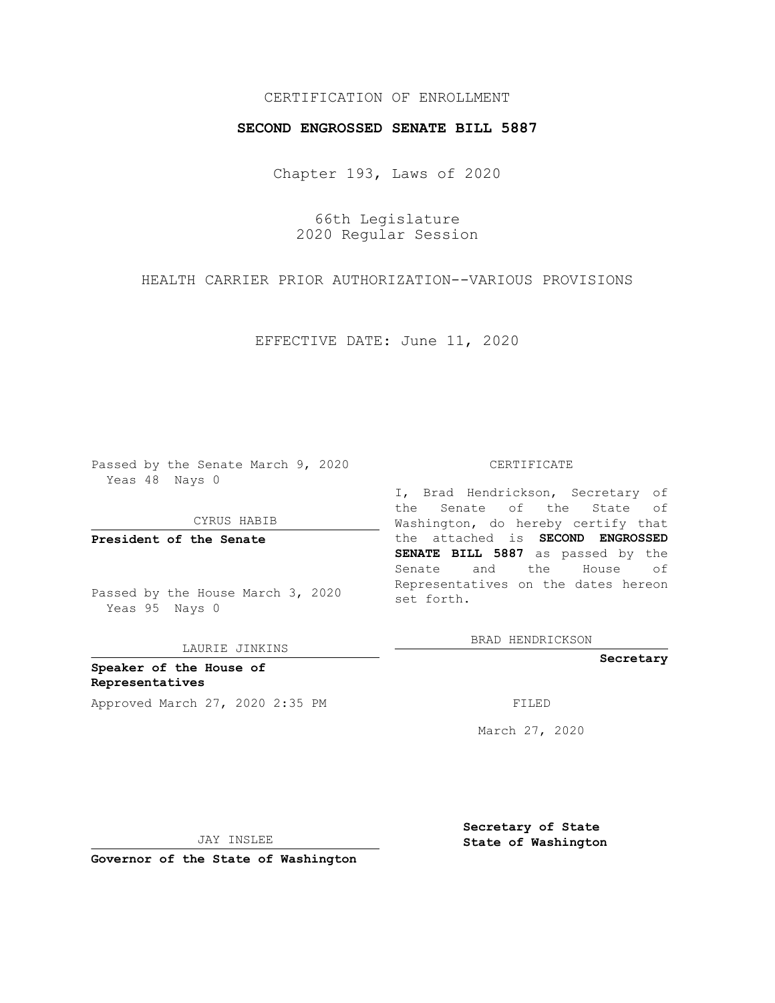# CERTIFICATION OF ENROLLMENT

## **SECOND ENGROSSED SENATE BILL 5887**

Chapter 193, Laws of 2020

66th Legislature 2020 Regular Session

HEALTH CARRIER PRIOR AUTHORIZATION--VARIOUS PROVISIONS

EFFECTIVE DATE: June 11, 2020

Passed by the Senate March 9, 2020 Yeas 48 Nays 0

CYRUS HABIB

**President of the Senate**

Passed by the House March 3, 2020 Yeas 95 Nays 0

LAURIE JINKINS

**Speaker of the House of Representatives** Approved March 27, 2020 2:35 PM FILED

#### CERTIFICATE

I, Brad Hendrickson, Secretary of the Senate of the State of Washington, do hereby certify that the attached is **SECOND ENGROSSED SENATE BILL 5887** as passed by the Senate and the House of Representatives on the dates hereon set forth.

BRAD HENDRICKSON

**Secretary**

March 27, 2020

JAY INSLEE

**Secretary of State State of Washington**

**Governor of the State of Washington**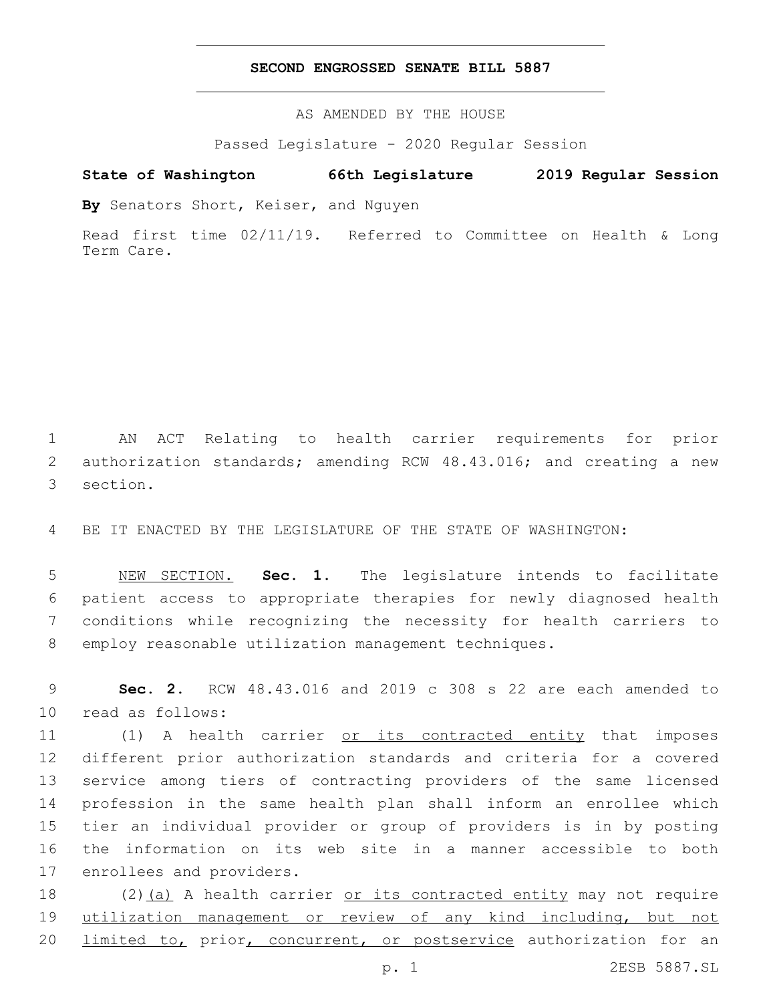## **SECOND ENGROSSED SENATE BILL 5887**

AS AMENDED BY THE HOUSE

Passed Legislature - 2020 Regular Session

# **State of Washington 66th Legislature 2019 Regular Session**

**By** Senators Short, Keiser, and Nguyen

Read first time 02/11/19. Referred to Committee on Health & Long Term Care.

1 AN ACT Relating to health carrier requirements for prior 2 authorization standards; amending RCW 48.43.016; and creating a new 3 section.

4 BE IT ENACTED BY THE LEGISLATURE OF THE STATE OF WASHINGTON:

 NEW SECTION. **Sec. 1.** The legislature intends to facilitate patient access to appropriate therapies for newly diagnosed health conditions while recognizing the necessity for health carriers to employ reasonable utilization management techniques.

9 **Sec. 2.** RCW 48.43.016 and 2019 c 308 s 22 are each amended to 10 read as follows:

11 (1) A health carrier or its contracted entity that imposes different prior authorization standards and criteria for a covered service among tiers of contracting providers of the same licensed profession in the same health plan shall inform an enrollee which tier an individual provider or group of providers is in by posting the information on its web site in a manner accessible to both 17 enrollees and providers.

18 (2)(a) A health carrier <u>or its contracted entity</u> may not require 19 utilization management or review of any kind including, but not 20 limited to, prior, concurrent, or postservice authorization for an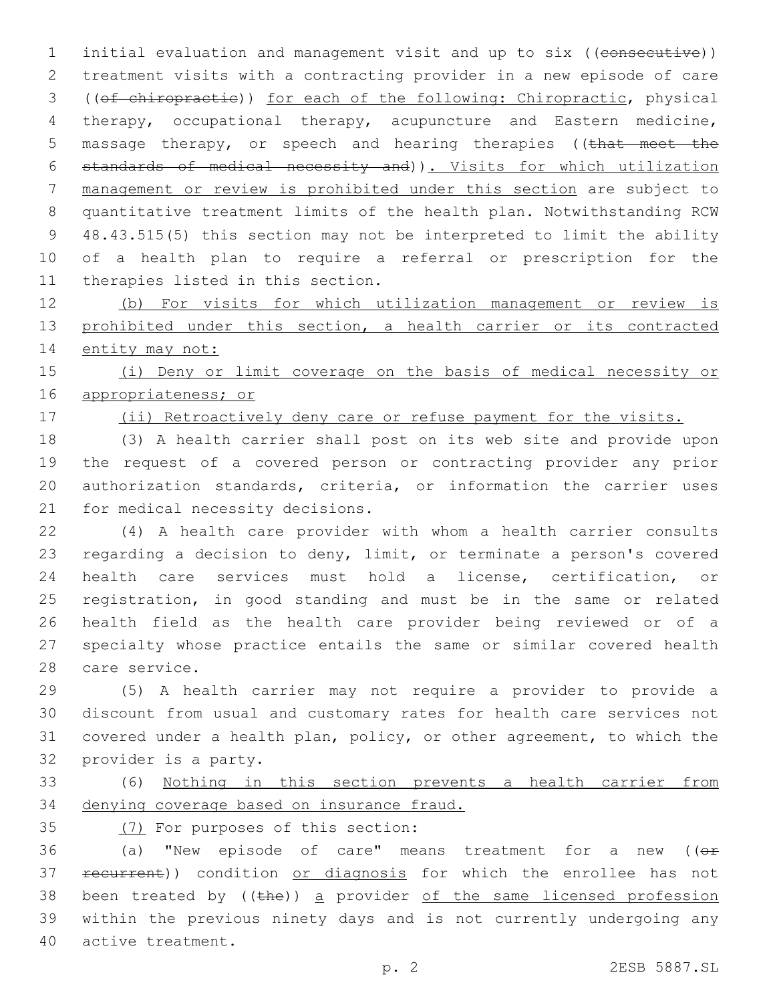1 initial evaluation and management visit and up to six ((consecutive)) treatment visits with a contracting provider in a new episode of care ((of chiropractic)) for each of the following: Chiropractic, physical therapy, occupational therapy, acupuncture and Eastern medicine, 5 massage therapy, or speech and hearing therapies ((that meet the standards of medical necessity and)). Visits for which utilization management or review is prohibited under this section are subject to quantitative treatment limits of the health plan. Notwithstanding RCW 48.43.515(5) this section may not be interpreted to limit the ability of a health plan to require a referral or prescription for the 11 therapies listed in this section.

 (b) For visits for which utilization management or review is 13 prohibited under this section, a health carrier or its contracted 14 entity may not:

 (i) Deny or limit coverage on the basis of medical necessity or appropriateness; or

17 (ii) Retroactively deny care or refuse payment for the visits.

 (3) A health carrier shall post on its web site and provide upon the request of a covered person or contracting provider any prior authorization standards, criteria, or information the carrier uses 21 for medical necessity decisions.

 (4) A health care provider with whom a health carrier consults regarding a decision to deny, limit, or terminate a person's covered health care services must hold a license, certification, or registration, in good standing and must be in the same or related health field as the health care provider being reviewed or of a specialty whose practice entails the same or similar covered health 28 care service.

 (5) A health carrier may not require a provider to provide a discount from usual and customary rates for health care services not covered under a health plan, policy, or other agreement, to which the 32 provider is a party.

 (6) Nothing in this section prevents a health carrier from denying coverage based on insurance fraud.

35 (7) For purposes of this section:

36 (a) "New episode of care" means treatment for a new ( $(e<sub>F</sub>)$ 37 recurrent)) condition or diagnosis for which the enrollee has not 38 been treated by ((the)) a provider of the same licensed profession within the previous ninety days and is not currently undergoing any 40 active treatment.